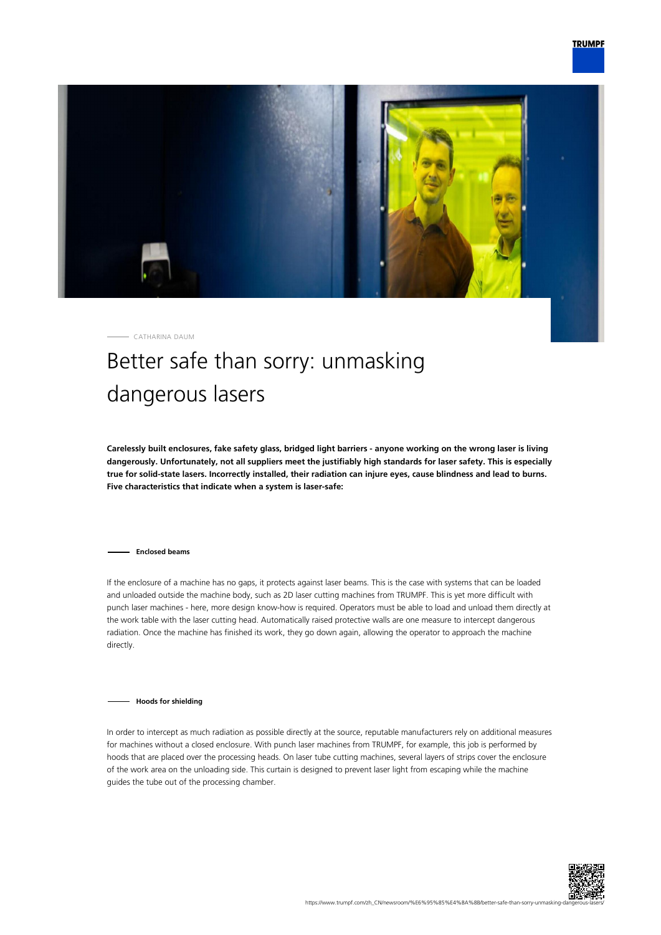

CATHARINA DAUM

## Better safe than sorry: unmasking dangerous lasers

**Carelessly built enclosures, fake safety glass, bridged light barriers - anyone working on the wrong laser is living dangerously. Unfortunately, not all suppliers meet the justifiably high standards for laser safety. This is especially true for solid-state lasers. Incorrectly installed, their radiation can injure eyes, cause blindness and lead to burns. Five characteristics that indicate when a system is laser-safe:**

**Enclosed beams**

If the enclosure of a machine has no gaps, it protects against laser beams. This is the case with systems that can be loaded and unloaded outside the machine body, such as 2D laser cutting machines from TRUMPF. This is yet more difficult with punch laser machines - here, more design know-how is required. Operators must be able to load and unload them directly at the work table with the laser cutting head. Automatically raised protective walls are one measure to intercept dangerous radiation. Once the machine has finished its work, they go down again, allowing the operator to approach the machine directly.

**Hoods for shielding**

In order to intercept as much radiation as possible directly at the source, reputable manufacturers rely on additional measures for machines without a closed enclosure. With punch laser machines from TRUMPF, for example, this job is performed by hoods that are placed over the processing heads. On laser tube cutting machines, several layers of strips cover the enclosure of the work area on the unloading side. This curtain is designed to prevent laser light from escaping while the machine guides the tube out of the processing chamber.

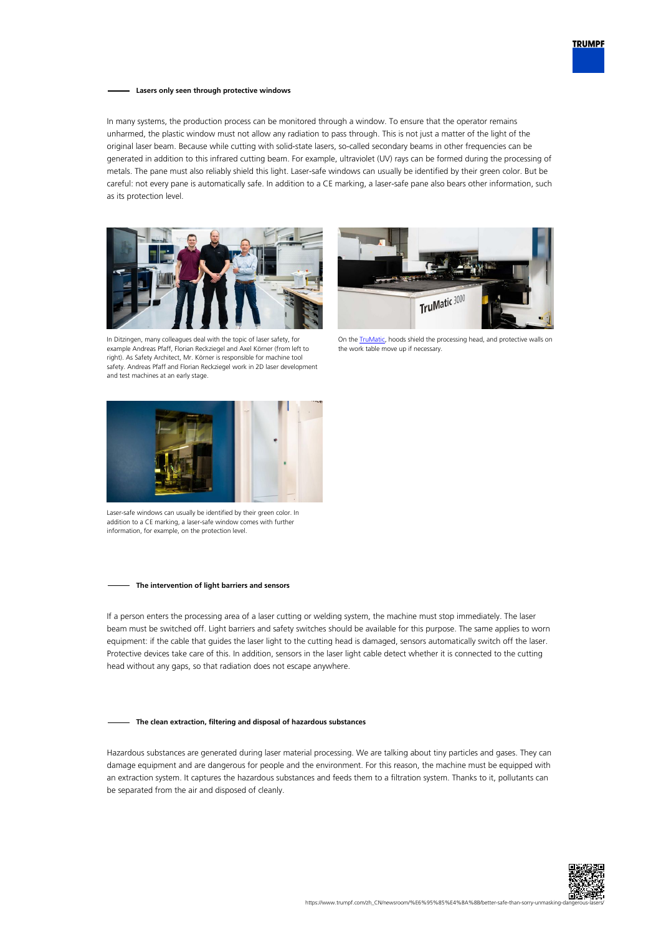

## **Lasers only seen through protective windows**

In many systems, the production process can be monitored through a window. To ensure that the operator remains unharmed, the plastic window must not allow any radiation to pass through. This is not just a matter of the light of the original laser beam. Because while cutting with solid-state lasers, so-called secondary beams in other frequencies can be generated in addition to this infrared cutting beam. For example, ultraviolet (UV) rays can be formed during the processing of metals. The pane must also reliably shield this light. Laser-safe windows can usually be identified by their green color. But be careful: not every pane is automatically safe. In addition to a CE marking, a laser-safe pane also bears other information, such as its protection level.





In Ditzingen, many colleagues deal with the topic of laser safety, for example Andreas Pfaff, Florian Reckziegel and Axel Körner (from left to right). As Safety Architect, Mr. Körner is responsible for machine tool safety. Andreas Pfaff and Florian Reckziegel work in 2D laser development and test machines at an early stage.

On the **TruMatic**, hoods shield the processing head, and protective walls on the work table move up if necessary.



Laser-safe windows can usually be identified by their green color. In addition to a CE marking, a laser-safe window comes with further information, for example, on the protection level.

## **The intervention of light barriers and sensors**

If a person enters the processing area of a laser cutting or welding system, the machine must stop immediately. The laser beam must be switched off. Light barriers and safety switches should be available for this purpose. The same applies to worn equipment: if the cable that guides the laser light to the cutting head is damaged, sensors automatically switch off the laser. Protective devices take care of this. In addition, sensors in the laser light cable detect whether it is connected to the cutting head without any gaps, so that radiation does not escape anywhere.

## **The clean extraction, filtering and disposal of hazardous substances**

Hazardous substances are generated during laser material processing. We are talking about tiny particles and gases. They can damage equipment and are dangerous for people and the environment. For this reason, the machine must be equipped with an extraction system. It captures the hazardous substances and feeds them to a filtration system. Thanks to it, pollutants can be separated from the air and disposed of cleanly.